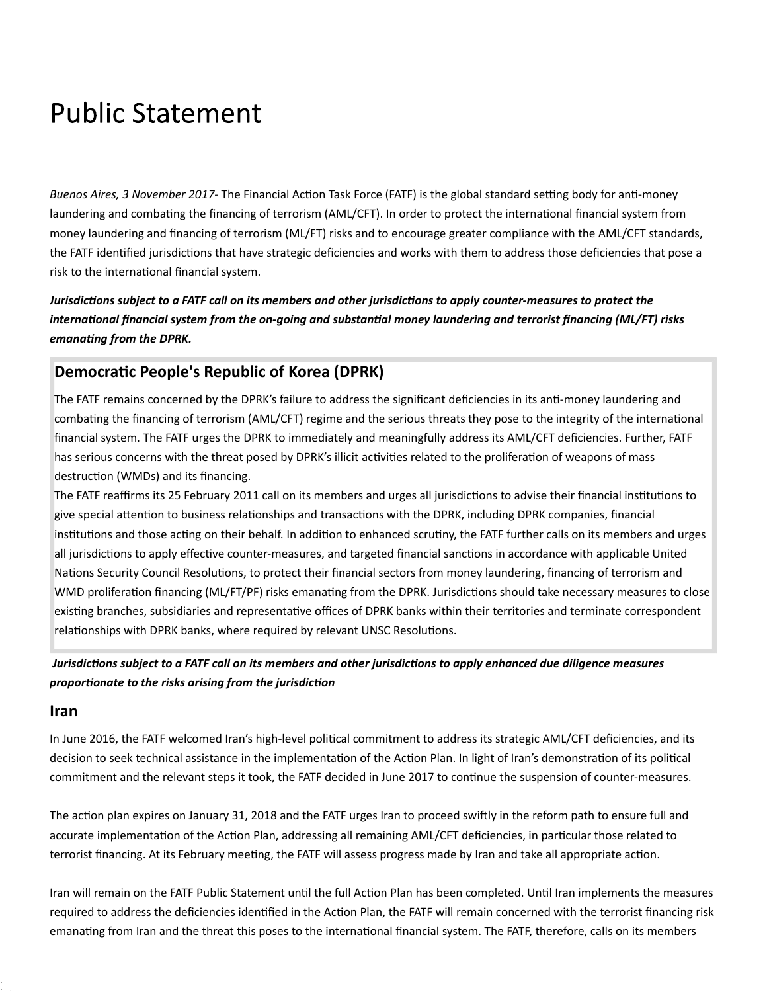## **Public Statement**

*Buenos Aires, 3 November 2017*- The Financial Action Task Force (FATF) is the global standard setting body for anti-money laundering and combating the financing of terrorism (AML/CFT). In order to protect the international financial system from money laundering and financing of terrorism (ML/FT) risks and to encourage greater compliance with the AML/CFT standards, the FATF identified jurisdictions that have strategic deficiencies and works with them to address those deficiencies that pose a risk to the international financial system.

*Jurisdictions subject to a FATF call on its members and other jurisdictions to apply counter-measures to protect the international financial system from the on-going and substantial money laundering and terrorist financing (ML/FT) risks emanaƟng from the DPRK.*

## **DemocraƟc People's Republic of Korea (DPRK)**

The FATF remains concerned by the DPRK's failure to address the significant deficiencies in its anti-money laundering and combating the financing of terrorism (AML/CFT) regime and the serious threats they pose to the integrity of the international financial system. The FATF urges the DPRK to immediately and meaningfully address its AML/CFT deficiencies. Further, FATF has serious concerns with the threat posed by DPRK's illicit activities related to the proliferation of weapons of mass destruction (WMDs) and its financing.

The FATF reaffirms its 25 February 2011 call on its members and urges all jurisdictions to advise their financial institutions to give special attention to business relationships and transactions with the DPRK, including DPRK companies, financial institutions and those acting on their behalf. In addition to enhanced scrutiny, the FATF further calls on its members and urges all jurisdictions to apply effective counter-measures, and targeted financial sanctions in accordance with applicable United Nations Security Council Resolutions, to protect their financial sectors from money laundering, financing of terrorism and WMD proliferation financing (ML/FT/PF) risks emanating from the DPRK. Jurisdictions should take necessary measures to close existing branches, subsidiaries and representative offices of DPRK banks within their territories and terminate correspondent relationships with DPRK banks, where required by relevant UNSC Resolutions.

*Jurisdictions subject to a FATF call on its members and other jurisdictions to apply enhanced due diligence measures proporƟonate to the risks arising from the jurisdicƟon*

## **Iran**

1<br>4 / 2

In June 2016, the FATF welcomed Iran's high-level political commitment to address its strategic AML/CFT deficiencies, and its decision to seek technical assistance in the implementation of the Action Plan. In light of Iran's demonstration of its political commitment and the relevant steps it took, the FATF decided in June 2017 to continue the suspension of counter-measures.

The action plan expires on January 31, 2018 and the FATF urges Iran to proceed swiftly in the reform path to ensure full and accurate implementation of the Action Plan, addressing all remaining AML/CFT deficiencies, in particular those related to terrorist financing. At its February meeting, the FATF will assess progress made by Iran and take all appropriate action.

Iran will remain on the FATF Public Statement until the full Action Plan has been completed. Until Iran implements the measures required to address the deficiencies identified in the Action Plan, the FATF will remain concerned with the terrorist financing risk emanating from Iran and the threat this poses to the international financial system. The FATF, therefore, calls on its members